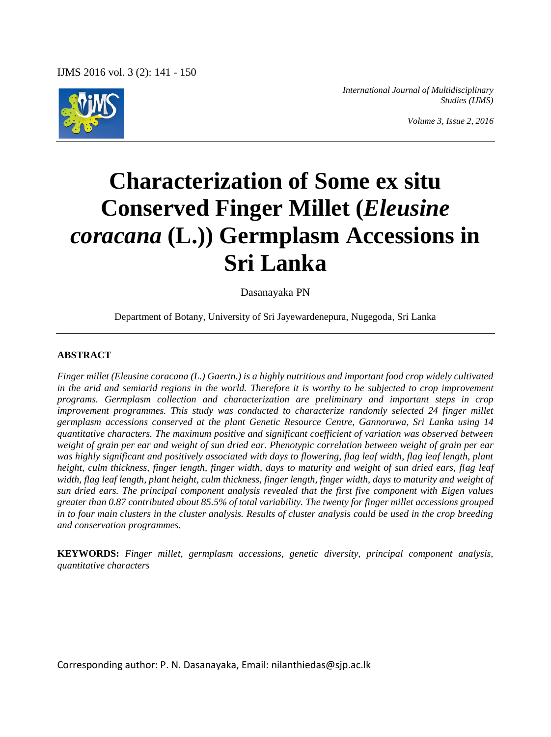

*International Journal of Multidisciplinary Studies (IJMS)*

*Volume 3, Issue 2, 2016*

# **Characterization of Some ex situ Conserved Finger Millet (***Eleusine coracana* **(L.)) Germplasm Accessions in Sri Lanka**

Dasanayaka PN

Department of Botany, University of Sri Jayewardenepura, Nugegoda, Sri Lanka

#### **ABSTRACT**

*Finger millet (Eleusine coracana (L.) Gaertn.) is a highly nutritious and important food crop widely cultivated in the arid and semiarid regions in the world. Therefore it is worthy to be subjected to crop improvement programs. Germplasm collection and characterization are preliminary and important steps in crop improvement programmes. This study was conducted to characterize randomly selected 24 finger millet germplasm accessions conserved at the plant Genetic Resource Centre, Gannoruwa, Sri Lanka using 14 quantitative characters. The maximum positive and significant coefficient of variation was observed between weight of grain per ear and weight of sun dried ear. Phenotypic correlation between weight of grain per ear was highly significant and positively associated with days to flowering, flag leaf width, flag leaf length, plant height, culm thickness, finger length, finger width, days to maturity and weight of sun dried ears, flag leaf width, flag leaf length, plant height, culm thickness, finger length, finger width, days to maturity and weight of sun dried ears. The principal component analysis revealed that the first five component with Eigen values greater than 0.87 contributed about 85.5% of total variability. The twenty for finger millet accessions grouped in to four main clusters in the cluster analysis. Results of cluster analysis could be used in the crop breeding and conservation programmes.*

**KEYWORDS:** *Finger millet, germplasm accessions, genetic diversity, principal component analysis, quantitative characters*

Corresponding author: P. N. Dasanayaka, Email: nilanthiedas@sjp.ac.lk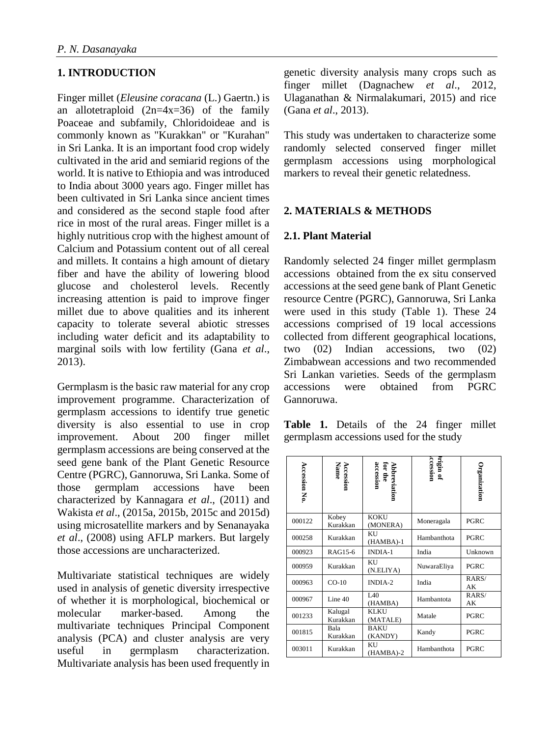# **1. INTRODUCTION**

Finger millet (*Eleusine coracana* (L.) Gaertn.) is an allotetraploid  $(2n=4x=36)$  of the family Poaceae and subfamily, Chloridoideae and is commonly known as "Kurakkan" or "Kurahan" in Sri Lanka. It is an important food crop widely cultivated in the arid and semiarid regions of the world. It is native to Ethiopia and was introduced to India about 3000 years ago. Finger millet has been cultivated in Sri Lanka since ancient times and considered as the second staple food after rice in most of the rural areas. Finger millet is a highly nutritious crop with the highest amount of Calcium and Potassium content out of all cereal and millets. It contains a high amount of dietary fiber and have the ability of lowering blood glucose and cholesterol levels. Recently increasing attention is paid to improve finger millet due to above qualities and its inherent capacity to tolerate several abiotic stresses including water deficit and its adaptability to marginal soils with low fertility (Gana *et al*., 2013).

Germplasm is the basic raw material for any crop improvement programme. Characterization of germplasm accessions to identify true genetic diversity is also essential to use in crop improvement. About 200 finger millet germplasm accessions are being conserved at the seed gene bank of the Plant Genetic Resource Centre (PGRC), Gannoruwa, Sri Lanka. Some of those germplam accessions have been characterized by Kannagara *et al*., (2011) and Wakista *et al*., (2015a, 2015b, 2015c and 2015d) using microsatellite markers and by Senanayaka *et al*., (2008) using AFLP markers. But largely those accessions are uncharacterized.

Multivariate statistical techniques are widely used in analysis of genetic diversity irrespective of whether it is morphological, biochemical or molecular marker-based. Among the multivariate techniques Principal Component analysis (PCA) and cluster analysis are very useful in germplasm characterization. Multivariate analysis has been used frequently in genetic diversity analysis many crops such as finger millet (Dagnachew *et al*., 2012, Ulaganathan & Nirmalakumari, 2015) and rice (Gana *et al*., 2013).

This study was undertaken to characterize some randomly selected conserved finger millet germplasm accessions using morphological markers to reveal their genetic relatedness.

# **2. MATERIALS & METHODS**

#### **2.1. Plant Material**

Randomly selected 24 finger millet germplasm accessions obtained from the ex situ conserved accessions at the seed gene bank of Plant Genetic resource Centre (PGRC), Gannoruwa, Sri Lanka were used in this study (Table 1). These 24 accessions comprised of 19 local accessions collected from different geographical locations, two (02) Indian accessions, two (02) Zimbabwean accessions and two recommended Sri Lankan varieties. Seeds of the germplasm accessions were obtained from PGRC Gannoruwa.

**Table 1.** Details of the 24 finger millet germplasm accessions used for the study

| <b>Accession No</b> | Accession<br>Name   | Abbreviation<br>for the<br>accession | <b>brigin of</b><br>cession | Organization |
|---------------------|---------------------|--------------------------------------|-----------------------------|--------------|
| 000122              | Kobey<br>Kurakkan   | <b>KOKU</b><br>(MONERA)              | Moneragala                  | PGRC         |
| 000258              | Kurakkan            | KU<br>$(HAMBA)-1$                    | Hambanthota                 | PGRC         |
| 000923              | RAG15-6             | INDIA-1                              | India                       | Unknown      |
| 000959              | Kurakkan            | KU<br>(N.ELIYA)                      | NuwaraEliya                 | PGRC         |
| 000963              | $CO-10$             | INDIA-2                              | India                       | RARS/<br>AK  |
| 000967              | Line $40$           | IA0<br>(HAMBA)                       | Hambantota                  | RARS/<br>АK  |
| 001233              | Kalugal<br>Kurakkan | <b>KLKU</b><br>(MATALE)              | Matale                      | PGRC         |
| 001815              | Bala<br>Kurakkan    | <b>BAKU</b><br>(KANDY)               | Kandy                       | PGRC         |
| 003011              | Kurakkan            | KU<br>(HAMBA)-2                      | Hambanthota                 | PGRC         |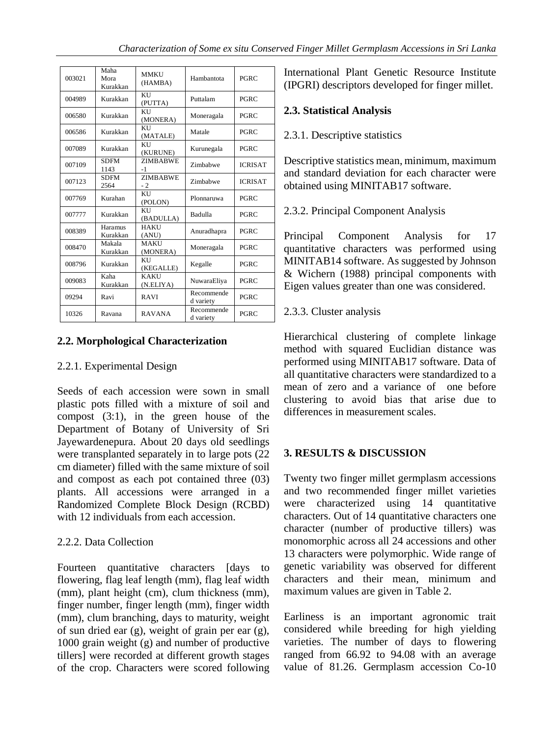| 003021 | Maha<br>Mora<br>Kurakkan | <b>MMKU</b><br>(HAMBA)   | Hambantota              | <b>PGRC</b>    |  |
|--------|--------------------------|--------------------------|-------------------------|----------------|--|
| 004989 | Kurakkan                 | KU<br>(PUTTA)            | Puttalam                | <b>PGRC</b>    |  |
| 006580 | Kurakkan                 | KU<br>(MONERA)           | Moneragala              | <b>PGRC</b>    |  |
| 006586 | Kurakkan                 | KU<br>(MATALE)           | Matale                  | <b>PGRC</b>    |  |
| 007089 | Kurakkan                 | KU<br>(KURUNE)           | Kurunegala              | <b>PGRC</b>    |  |
| 007109 | <b>SDFM</b><br>1143      | <b>ZIMBABWE</b><br>$-1$  | Zimbabwe                | <b>ICRISAT</b> |  |
| 007123 | <b>SDFM</b><br>2564      | <b>ZIMBABWE</b><br>$-2$  | Zimbabwe                | <b>ICRISAT</b> |  |
| 007769 | Kurahan                  | KU<br>(POLON)            | Plonnaruwa              | PGRC           |  |
| 007777 | Kurakkan                 | KU<br>(BADULLA)          | Badulla                 | <b>PGRC</b>    |  |
| 008389 | Haramus<br>Kurakkan      | <b>HAKU</b><br>(ANU)     | Anuradhapra             | <b>PGRC</b>    |  |
| 008470 | Makala<br>Kurakkan       | <b>MAKU</b><br>(MONERA)  | Moneragala              | <b>PGRC</b>    |  |
| 008796 | Kurakkan                 | KU<br>(KEGALLE)          | Kegalle                 | <b>PGRC</b>    |  |
| 009083 | Kaha<br>Kurakkan         | <b>KAKU</b><br>(N.ELIYA) | NuwaraEliya             | <b>PGRC</b>    |  |
| 09294  | Ravi                     | <b>RAVI</b>              | Recommende<br>d variety | <b>PGRC</b>    |  |
| 10326  | Ravana                   | <b>RAVANA</b>            | Recommende<br>d variety | <b>PGRC</b>    |  |

# **2.2. Morphological Characterization**

#### 2.2.1. Experimental Design

Seeds of each accession were sown in small plastic pots filled with a mixture of soil and compost (3:1), in the green house of the Department of Botany of University of Sri Jayewardenepura. About 20 days old seedlings were transplanted separately in to large pots (22 cm diameter) filled with the same mixture of soil and compost as each pot contained three (03) plants. All accessions were arranged in a Randomized Complete Block Design (RCBD) with 12 individuals from each accession.

# 2.2.2. Data Collection

Fourteen quantitative characters [days to flowering, flag leaf length (mm), flag leaf width (mm), plant height (cm), clum thickness (mm), finger number, finger length (mm), finger width (mm), clum branching, days to maturity, weight of sun dried ear (g), weight of grain per ear (g), 1000 grain weight (g) and number of productive tillers] were recorded at different growth stages of the crop. Characters were scored following International Plant Genetic Resource Institute (IPGRI) descriptors developed for finger millet.

# **2.3. Statistical Analysis**

# 2.3.1. Descriptive statistics

Descriptive statistics mean, minimum, maximum and standard deviation for each character were obtained using MINITAB17 software.

# 2.3.2. Principal Component Analysis

Principal Component Analysis for 17 quantitative characters was performed using MINITAB14 software. As suggested by Johnson & Wichern (1988) principal components with Eigen values greater than one was considered.

# 2.3.3. Cluster analysis

Hierarchical clustering of complete linkage method with squared Euclidian distance was performed using MINITAB17 software. Data of all quantitative characters were standardized to a mean of zero and a variance of one before clustering to avoid bias that arise due to differences in measurement scales.

# **3. RESULTS & DISCUSSION**

Twenty two finger millet germplasm accessions and two recommended finger millet varieties were characterized using 14 quantitative characters. Out of 14 quantitative characters one character (number of productive tillers) was monomorphic across all 24 accessions and other 13 characters were polymorphic. Wide range of genetic variability was observed for different characters and their mean, minimum and maximum values are given in Table 2.

Earliness is an important agronomic trait considered while breeding for high yielding varieties. The number of days to flowering ranged from 66.92 to 94.08 with an average value of 81.26. Germplasm accession Co-10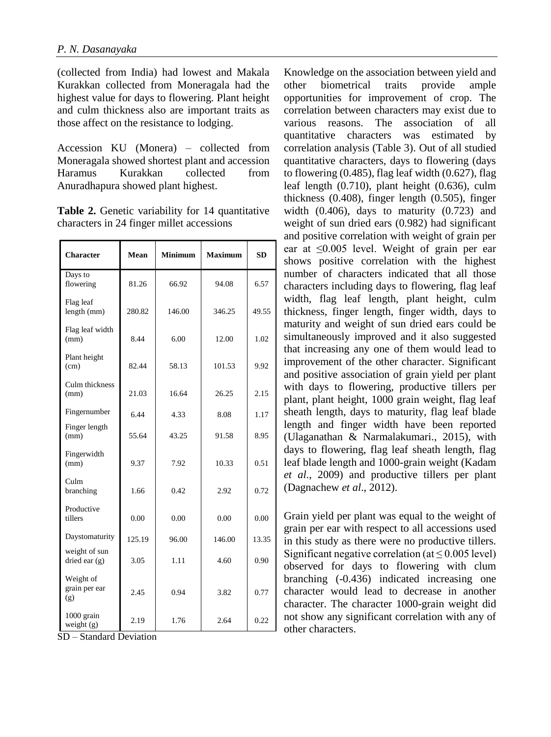(collected from India) had lowest and Makala Kurakkan collected from Moneragala had the highest value for days to flowering. Plant height and culm thickness also are important traits as those affect on the resistance to lodging.

Accession KU (Monera) – collected from Moneragala showed shortest plant and accession Haramus Kurakkan collected from Anuradhapura showed plant highest.

Table 2. Genetic variability for 14 quantitative characters in 24 finger millet accessions

| <b>Character</b>                  | Mean   | <b>Minimum</b> | <b>Maximum</b> | <b>SD</b> |
|-----------------------------------|--------|----------------|----------------|-----------|
| Days to<br>flowering              | 81.26  | 66.92          | 94.08          | 6.57      |
| Flag leaf<br>length (mm)          | 280.82 | 146.00         | 346.25         | 49.55     |
| Flag leaf width<br>(mm)           | 8.44   | 6.00           | 12.00          | 1.02      |
| Plant height<br>(cm)              | 82.44  | 58.13          | 101.53         | 9.92      |
| Culm thickness<br>(mm)            | 21.03  | 16.64          | 26.25          | 2.15      |
| Fingernumber                      | 6.44   | 4.33           | 8.08           | 1.17      |
| Finger length<br>(mm)             | 55.64  | 43.25          | 91.58          | 8.95      |
| Fingerwidth<br>(mm)               | 9.37   | 7.92           | 10.33          | 0.51      |
| Culm<br>branching                 | 1.66   | 0.42           | 2.92           | 0.72      |
| Productive<br>tillers             | 0.00   | 0.00           | 0.00           | 0.00      |
| Daystomaturity                    | 125.19 | 96.00          | 146.00         | 13.35     |
| weight of sun<br>dried ear $(g)$  | 3.05   | 1.11           | 4.60           | 0.90      |
| Weight of<br>grain per ear<br>(g) | 2.45   | 0.94           | 3.82           | 0.77      |
| 1000 grain<br>weight (g)          | 2.19   | 1.76           | 2.64           | 0.22      |

SD – Standard Deviation

Knowledge on the association between yield and other biometrical traits provide ample opportunities for improvement of crop. The correlation between characters may exist due to various reasons. The association of all quantitative characters was estimated by correlation analysis (Table 3). Out of all studied quantitative characters, days to flowering (days to flowering (0.485), flag leaf width (0.627), flag leaf length (0.710), plant height (0.636), culm thickness (0.408), finger length (0.505), finger width  $(0.406)$ , days to maturity  $(0.723)$  and weight of sun dried ears (0.982) had significant and positive correlation with weight of grain per ear at ≤0.005 level. Weight of grain per ear shows positive correlation with the highest number of characters indicated that all those characters including days to flowering, flag leaf width, flag leaf length, plant height, culm thickness, finger length, finger width, days to maturity and weight of sun dried ears could be simultaneously improved and it also suggested that increasing any one of them would lead to improvement of the other character. Significant and positive association of grain yield per plant with days to flowering, productive tillers per plant, plant height, 1000 grain weight, flag leaf sheath length, days to maturity, flag leaf blade length and finger width have been reported (Ulaganathan & Narmalakumari., 2015), with days to flowering, flag leaf sheath length, flag leaf blade length and 1000-grain weight (Kadam *et al*., 2009) and productive tillers per plant (Dagnachew *et al*., 2012).

Grain yield per plant was equal to the weight of grain per ear with respect to all accessions used in this study as there were no productive tillers. Significant negative correlation (at  $\leq$  0.005 level) observed for days to flowering with clum branching (-0.436) indicated increasing one character would lead to decrease in another character. The character 1000-grain weight did not show any significant correlation with any of other characters.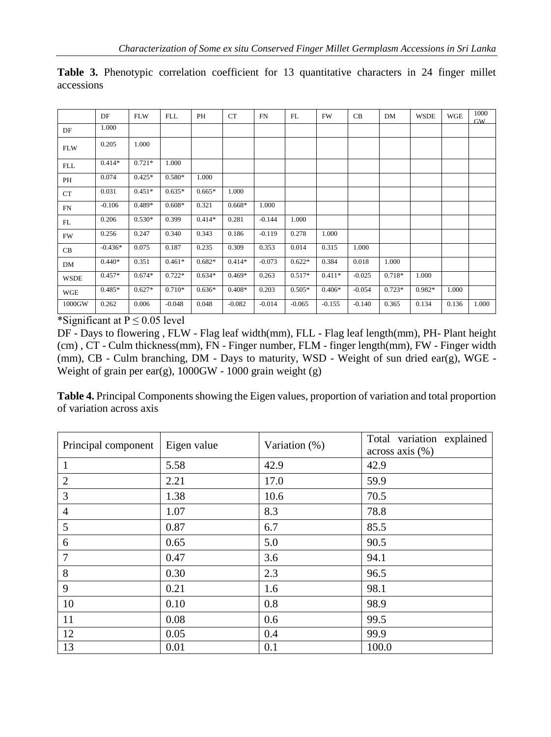|                                      | DF        | <b>FLW</b>                                                                                                                                                                                                                                                                                                                                  | FLL      | PH       | CT       | FN       | FL       | <b>FW</b> | CB       | DM       | <b>WSDE</b> | <b>WGE</b> | 1000<br><b>GW</b> |
|--------------------------------------|-----------|---------------------------------------------------------------------------------------------------------------------------------------------------------------------------------------------------------------------------------------------------------------------------------------------------------------------------------------------|----------|----------|----------|----------|----------|-----------|----------|----------|-------------|------------|-------------------|
| DF                                   | 1.000     |                                                                                                                                                                                                                                                                                                                                             |          |          |          |          |          |           |          |          |             |            |                   |
| <b>FLW</b>                           | 0.205     | 1.000                                                                                                                                                                                                                                                                                                                                       |          |          |          |          |          |           |          |          |             |            |                   |
| <b>FLL</b>                           | $0.414*$  | $0.721*$                                                                                                                                                                                                                                                                                                                                    | 1.000    |          |          |          |          |           |          |          |             |            |                   |
| PH                                   | 0.074     | $0.425*$                                                                                                                                                                                                                                                                                                                                    | $0.580*$ | 1.000    |          |          |          |           |          |          |             |            |                   |
| CT                                   | 0.031     | $0.451*$                                                                                                                                                                                                                                                                                                                                    | $0.635*$ | $0.665*$ | 1.000    |          |          |           |          |          |             |            |                   |
| FN                                   | $-0.106$  | $0.489*$                                                                                                                                                                                                                                                                                                                                    | $0.608*$ | 0.321    | $0.668*$ | 1.000    |          |           |          |          |             |            |                   |
| FL                                   | 0.206     | $0.530*$                                                                                                                                                                                                                                                                                                                                    | 0.399    | $0.414*$ | 0.281    | $-0.144$ | 1.000    |           |          |          |             |            |                   |
| FW                                   | 0.256     | 0.247                                                                                                                                                                                                                                                                                                                                       | 0.340    | 0.343    | 0.186    | $-0.119$ | 0.278    | 1.000     |          |          |             |            |                   |
| CB                                   | $-0.436*$ | 0.075                                                                                                                                                                                                                                                                                                                                       | 0.187    | 0.235    | 0.309    | 0.353    | 0.014    | 0.315     | 1.000    |          |             |            |                   |
| DM                                   | $0.440*$  | 0.351                                                                                                                                                                                                                                                                                                                                       | $0.461*$ | $0.682*$ | $0.414*$ | $-0.073$ | $0.622*$ | 0.384     | 0.018    | 1.000    |             |            |                   |
| <b>WSDE</b>                          | $0.457*$  | $0.674*$                                                                                                                                                                                                                                                                                                                                    | $0.722*$ | $0.634*$ | $0.469*$ | 0.263    | $0.517*$ | $0.411*$  | $-0.025$ | 0.718*   | 1.000       |            |                   |
| WGE                                  | $0.485*$  | $0.627*$                                                                                                                                                                                                                                                                                                                                    | $0.710*$ | $0.636*$ | $0.408*$ | 0.203    | $0.505*$ | $0.406*$  | $-0.054$ | $0.723*$ | $0.982*$    | 1.000      |                   |
| 1000GW<br>$\cdot$ $\sim$<br>$\cdots$ | 0.262     | 0.006<br>$\mathbf{r}$ $\mathbf{r}$ $\mathbf{r}$ $\mathbf{r}$ $\mathbf{r}$ $\mathbf{r}$ $\mathbf{r}$ $\mathbf{r}$ $\mathbf{r}$ $\mathbf{r}$ $\mathbf{r}$ $\mathbf{r}$ $\mathbf{r}$ $\mathbf{r}$ $\mathbf{r}$ $\mathbf{r}$ $\mathbf{r}$ $\mathbf{r}$ $\mathbf{r}$ $\mathbf{r}$ $\mathbf{r}$ $\mathbf{r}$ $\mathbf{r}$ $\mathbf{r}$ $\mathbf{$ | $-0.048$ | 0.048    | $-0.082$ | $-0.014$ | $-0.065$ | $-0.155$  | $-0.140$ | 0.365    | 0.134       | 0.136      | 1.000             |

Table 3. Phenotypic correlation coefficient for 13 quantitative characters in 24 finger millet accessions

\*Significant at  $P \le 0.05$  level

DF - Days to flowering , FLW - Flag leaf width(mm), FLL - Flag leaf length(mm), PH- Plant height (cm) , CT - Culm thickness(mm), FN - Finger number, FLM - finger length(mm), FW - Finger width (mm), CB - Culm branching, DM - Days to maturity, WSD - Weight of sun dried ear(g), WGE - Weight of grain per ear(g),  $1000$ GW -  $1000$  grain weight (g)

**Table 4.** Principal Components showing the Eigen values, proportion of variation and total proportion of variation across axis

| Principal component | Eigen value | Variation (%) | Total variation explained<br>$across axis (\%)$ |
|---------------------|-------------|---------------|-------------------------------------------------|
| 1                   | 5.58        | 42.9          | 42.9                                            |
| $\overline{2}$      | 2.21        | 17.0          | 59.9                                            |
| 3                   | 1.38        | 10.6          | 70.5                                            |
| $\overline{4}$      | 1.07        | 8.3           | 78.8                                            |
| 5                   | 0.87        | 6.7           | 85.5                                            |
| 6                   | 0.65        | 5.0           | 90.5                                            |
| $\overline{7}$      | 0.47        | 3.6           | 94.1                                            |
| 8                   | 0.30        | 2.3           | 96.5                                            |
| 9                   | 0.21        | 1.6           | 98.1                                            |
| 10                  | 0.10        | 0.8           | 98.9                                            |
| 11                  | 0.08        | 0.6           | 99.5                                            |
| 12                  | 0.05        | 0.4           | 99.9                                            |
| 13                  | 0.01        | 0.1           | 100.0                                           |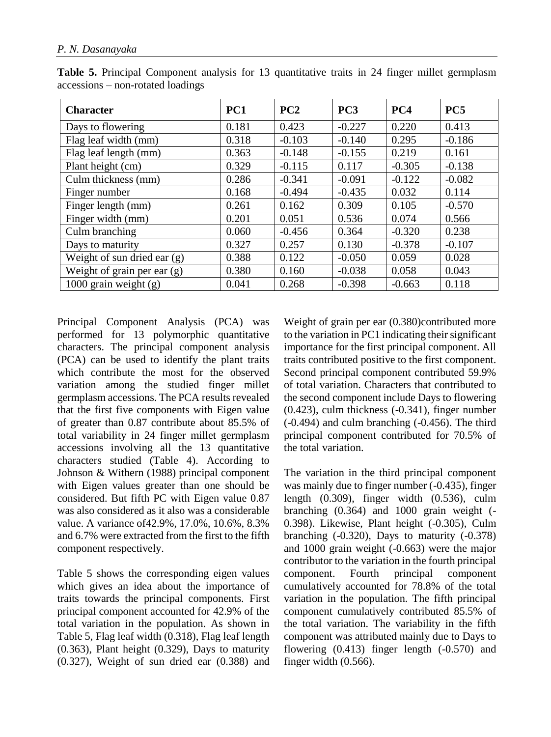| <b>Character</b>              | PC1   | PC2      | PC <sub>3</sub> | PC4      | PC <sub>5</sub> |
|-------------------------------|-------|----------|-----------------|----------|-----------------|
| Days to flowering             | 0.181 | 0.423    | $-0.227$        | 0.220    | 0.413           |
| Flag leaf width (mm)          | 0.318 | $-0.103$ | $-0.140$        | 0.295    | $-0.186$        |
| Flag leaf length (mm)         | 0.363 | $-0.148$ | $-0.155$        | 0.219    | 0.161           |
| Plant height (cm)             | 0.329 | $-0.115$ | 0.117           | $-0.305$ | $-0.138$        |
| Culm thickness (mm)           | 0.286 | $-0.341$ | $-0.091$        | $-0.122$ | $-0.082$        |
| Finger number                 | 0.168 | $-0.494$ | $-0.435$        | 0.032    | 0.114           |
| Finger length (mm)            | 0.261 | 0.162    | 0.309           | 0.105    | $-0.570$        |
| Finger width (mm)             | 0.201 | 0.051    | 0.536           | 0.074    | 0.566           |
| Culm branching                | 0.060 | $-0.456$ | 0.364           | $-0.320$ | 0.238           |
| Days to maturity              | 0.327 | 0.257    | 0.130           | $-0.378$ | $-0.107$        |
| Weight of sun dried ear $(g)$ | 0.388 | 0.122    | $-0.050$        | 0.059    | 0.028           |
| Weight of grain per ear $(g)$ | 0.380 | 0.160    | $-0.038$        | 0.058    | 0.043           |
| 1000 grain weight $(g)$       | 0.041 | 0.268    | $-0.398$        | $-0.663$ | 0.118           |

**Table 5.** Principal Component analysis for 13 quantitative traits in 24 finger millet germplasm accessions – non-rotated loadings

Principal Component Analysis (PCA) was performed for 13 polymorphic quantitative characters. The principal component analysis (PCA) can be used to identify the plant traits which contribute the most for the observed variation among the studied finger millet germplasm accessions. The PCA results revealed that the first five components with Eigen value of greater than 0.87 contribute about 85.5% of total variability in 24 finger millet germplasm accessions involving all the 13 quantitative characters studied (Table 4). According to Johnson & Withern (1988) principal component with Eigen values greater than one should be considered. But fifth PC with Eigen value 0.87 was also considered as it also was a considerable value. A variance of42.9%, 17.0%, 10.6%, 8.3% and 6.7% were extracted from the first to the fifth component respectively.

Table 5 shows the corresponding eigen values which gives an idea about the importance of traits towards the principal components. First principal component accounted for 42.9% of the total variation in the population. As shown in Table 5, Flag leaf width (0.318), Flag leaf length (0.363), Plant height (0.329), Days to maturity (0.327), Weight of sun dried ear (0.388) and

Weight of grain per ear (0.380)contributed more to the variation in PC1 indicating their significant importance for the first principal component. All traits contributed positive to the first component. Second principal component contributed 59.9% of total variation. Characters that contributed to the second component include Days to flowering (0.423), culm thickness (-0.341), finger number (-0.494) and culm branching (-0.456). The third principal component contributed for 70.5% of the total variation.

The variation in the third principal component was mainly due to finger number (-0.435), finger length (0.309), finger width (0.536), culm branching (0.364) and 1000 grain weight (- 0.398). Likewise, Plant height (-0.305), Culm branching (-0.320), Days to maturity (-0.378) and 1000 grain weight (-0.663) were the major contributor to the variation in the fourth principal component. Fourth principal component cumulatively accounted for 78.8% of the total variation in the population. The fifth principal component cumulatively contributed 85.5% of the total variation. The variability in the fifth component was attributed mainly due to Days to flowering  $(0.413)$  finger length  $(-0.570)$  and finger width (0.566).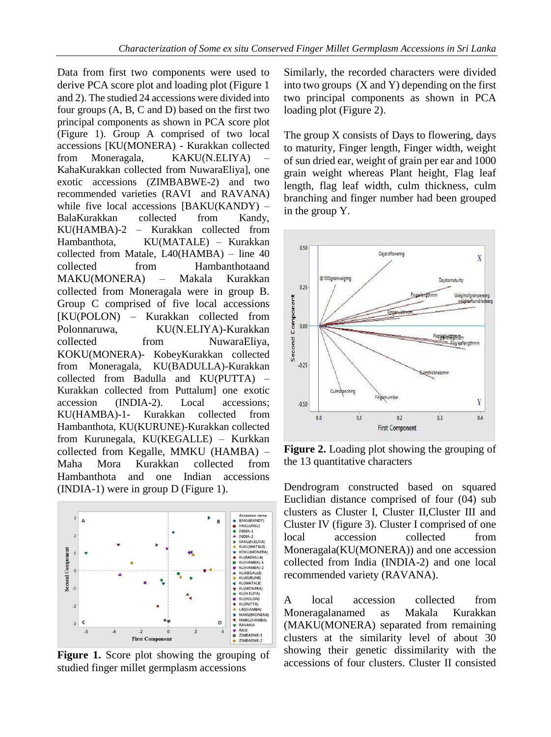Data from first two components were used to derive PCA score plot and loading plot (Figure 1 and 2). The studied 24 accessions were divided into four groups (A, B, C and D) based on the first two principal components as shown in PCA score plot (Figure 1). Group A comprised of two local accessions [KU(MONERA) - Kurakkan collected from Moneragala, KAKU(N.ELIYA) KahaKurakkan collected from NuwaraEliya], one exotic accessions (ZIMBABWE-2) and two recommended varieties (RAVI and RAVANA) while five local accessions [BAKU(KANDY) – BalaKurakkan collected from Kandy, KU(HAMBA)-2 – Kurakkan collected from Hambanthota, KU(MATALE) – Kurakkan collected from Matale, L40(HAMBA) – line 40 collected from Hambanthotaand MAKU(MONERA) – Makala Kurakkan collected from Moneragala were in group B. Group C comprised of five local accessions [KU(POLON) – Kurakkan collected from Polonnaruwa, KU(N.ELIYA)-Kurakkan collected from NuwaraEliya, KOKU(MONERA)- KobeyKurakkan collected from Moneragala, KU(BADULLA)-Kurakkan collected from Badulla and KU(PUTTA) – Kurakkan collected from Puttalum] one exotic accession (INDIA-2). Local accessions; KU(HAMBA)-1- Kurakkan collected from Hambanthota, KU(KURUNE)-Kurakkan collected from Kurunegala, KU(KEGALLE) – Kurkkan collected from Kegalle, MMKU (HAMBA) – Maha Mora Kurakkan collected from Hambanthota and one Indian accessions (INDIA-1) were in group D (Figure 1).



**Figure 1.** Score plot showing the grouping of studied finger millet germplasm accessions

Similarly, the recorded characters were divided into two groups  $(X \text{ and } Y)$  depending on the first two principal components as shown in PCA loading plot (Figure 2).

The group X consists of Days to flowering, days to maturity, Finger length, Finger width, weight of sun dried ear, weight of grain per ear and 1000 grain weight whereas Plant height, Flag leaf length, flag leaf width, culm thickness, culm branching and finger number had been grouped in the group Y.



**Figure 2.** Loading plot showing the grouping of the 13 quantitative characters

Dendrogram constructed based on squared Euclidian distance comprised of four (04) sub clusters as Cluster I, Cluster II,Cluster III and Cluster IV (figure 3). Cluster I comprised of one local accession collected from Moneragala(KU(MONERA)) and one accession collected from India (INDIA-2) and one local recommended variety (RAVANA).

A local accession collected from Moneragalanamed as Makala Kurakkan (MAKU(MONERA) separated from remaining clusters at the similarity level of about 30 showing their genetic dissimilarity with the accessions of four clusters. Cluster II consisted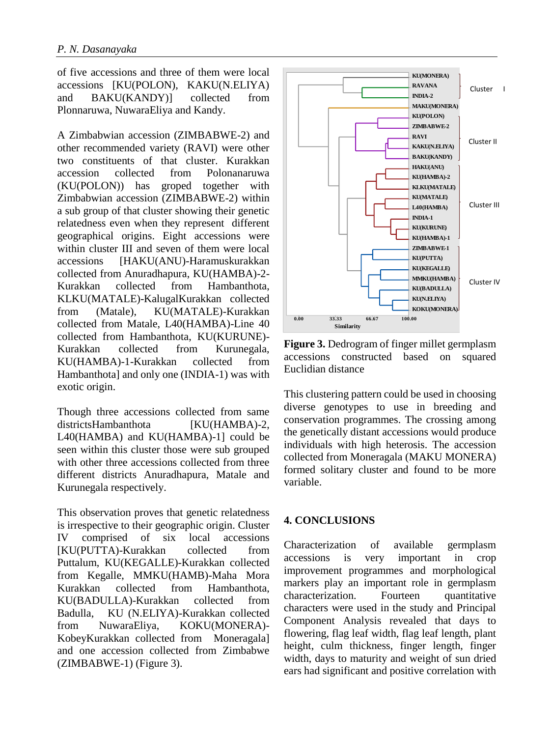of five accessions and three of them were local accessions [KU(POLON), KAKU(N.ELIYA) and BAKU(KANDY)] collected from Plonnaruwa, NuwaraEliya and Kandy.

A Zimbabwian accession (ZIMBABWE-2) and other recommended variety (RAVI) were other two constituents of that cluster. Kurakkan accession collected from Polonanaruwa (KU(POLON)) has groped together with Zimbabwian accession (ZIMBABWE-2) within a sub group of that cluster showing their genetic relatedness even when they represent different geographical origins. Eight accessions were within cluster III and seven of them were local accessions [HAKU(ANU)-Haramuskurakkan collected from Anuradhapura, KU(HAMBA)-2- Kurakkan collected from Hambanthota, KLKU(MATALE)-KalugalKurakkan collected from (Matale), KU(MATALE)-Kurakkan collected from Matale, L40(HAMBA)-Line 40 collected from Hambanthota, KU(KURUNE)- Kurakkan collected from Kurunegala, KU(HAMBA)-1-Kurakkan collected from Hambanthota] and only one (INDIA-1) was with exotic origin.

Though three accessions collected from same districtsHambanthota [KU(HAMBA)-2, L40(HAMBA) and KU(HAMBA)-1] could be seen within this cluster those were sub grouped with other three accessions collected from three different districts Anuradhapura, Matale and Kurunegala respectively.

This observation proves that genetic relatedness is irrespective to their geographic origin. Cluster IV comprised of six local accessions [KU(PUTTA)-Kurakkan collected from Puttalum, KU(KEGALLE)-Kurakkan collected from Kegalle, MMKU(HAMB)-Maha Mora Kurakkan collected from Hambanthota, KU(BADULLA)-Kurakkan collected from Badulla, KU (N.ELIYA)-Kurakkan collected from NuwaraEliya, KOKU(MONERA)- KobeyKurakkan collected from Moneragala] and one accession collected from Zimbabwe (ZIMBABWE-1) (Figure 3).



**Figure 3.** Dedrogram of finger millet germplasm accessions constructed based on squared Euclidian distance

This clustering pattern could be used in choosing diverse genotypes to use in breeding and conservation programmes. The crossing among the genetically distant accessions would produce individuals with high heterosis. The accession collected from Moneragala (MAKU MONERA) formed solitary cluster and found to be more variable.

# **4. CONCLUSIONS**

Characterization of available germplasm accessions is very important in crop improvement programmes and morphological markers play an important role in germplasm characterization. Fourteen quantitative characters were used in the study and Principal Component Analysis revealed that days to flowering, flag leaf width, flag leaf length, plant height, culm thickness, finger length, finger width, days to maturity and weight of sun dried ears had significant and positive correlation with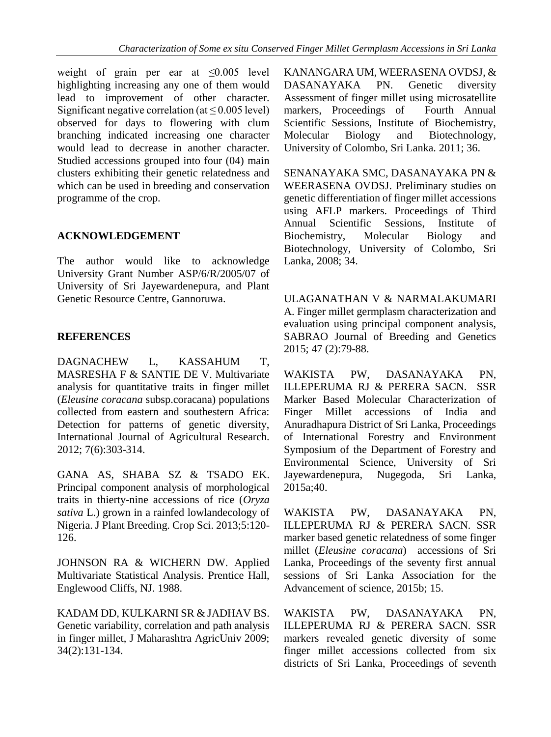weight of grain per ear at  $\leq 0.005$  level highlighting increasing any one of them would lead to improvement of other character. Significant negative correlation (at  $\leq$  0.005 level) observed for days to flowering with clum branching indicated increasing one character would lead to decrease in another character. Studied accessions grouped into four (04) main clusters exhibiting their genetic relatedness and which can be used in breeding and conservation programme of the crop.

# **ACKNOWLEDGEMENT**

The author would like to acknowledge University Grant Number ASP/6/R/2005/07 of University of Sri Jayewardenepura, and Plant Genetic Resource Centre, Gannoruwa.

# **REFERENCES**

DAGNACHEW L, KASSAHUM T, MASRESHA F & SANTIE DE V. Multivariate analysis for quantitative traits in finger millet (*Eleusine coracana* subsp.coracana) populations collected from eastern and southestern Africa: Detection for patterns of genetic diversity, International Journal of Agricultural Research. 2012; 7(6):303-314.

GANA AS, SHABA SZ & TSADO EK. Principal component analysis of morphological traits in thierty-nine accessions of rice (*Oryza sativa* L.) grown in a rainfed lowlandecology of Nigeria. J Plant Breeding. Crop Sci. 2013;5:120- 126.

JOHNSON RA & WICHERN DW. Applied Multivariate Statistical Analysis. Prentice Hall, Englewood Cliffs, NJ. 1988.

KADAM DD, KULKARNI SR & JADHAV BS. Genetic variability, correlation and path analysis in finger millet, J Maharashtra AgricUniv 2009; 34(2):131-134.

KANANGARA UM, WEERASENA OVDSJ, & DASANAYAKA PN. Genetic diversity Assessment of finger millet using microsatellite markers, Proceedings of Fourth Annual Scientific Sessions, Institute of Biochemistry, Molecular Biology and Biotechnology, University of Colombo, Sri Lanka. 2011; 36.

SENANAYAKA SMC, DASANAYAKA PN & WEERASENA OVDSJ. Preliminary studies on genetic differentiation of finger millet accessions using AFLP markers. Proceedings of Third Annual Scientific Sessions, Institute of Biochemistry, Molecular Biology and Biotechnology, University of Colombo, Sri Lanka, 2008; 34.

ULAGANATHAN V & NARMALAKUMARI A. Finger millet germplasm characterization and evaluation using principal component analysis, SABRAO Journal of Breeding and Genetics 2015; 47 (2):79-88.

WAKISTA PW, DASANAYAKA PN, ILLEPERUMA RJ & PERERA SACN. SSR Marker Based Molecular Characterization of Finger Millet accessions of India and Anuradhapura District of Sri Lanka, Proceedings of International Forestry and Environment Symposium of the Department of Forestry and Environmental Science, University of Sri Jayewardenepura, Nugegoda, Sri Lanka, 2015a;40.

WAKISTA PW, DASANAYAKA PN, ILLEPERUMA RJ & PERERA SACN. SSR marker based genetic relatedness of some finger millet (*Eleusine coracana*) accessions of Sri Lanka, Proceedings of the seventy first annual sessions of Sri Lanka Association for the Advancement of science, 2015b; 15.

WAKISTA PW, DASANAYAKA PN, ILLEPERUMA RJ & PERERA SACN. SSR markers revealed genetic diversity of some finger millet accessions collected from six districts of Sri Lanka, Proceedings of seventh